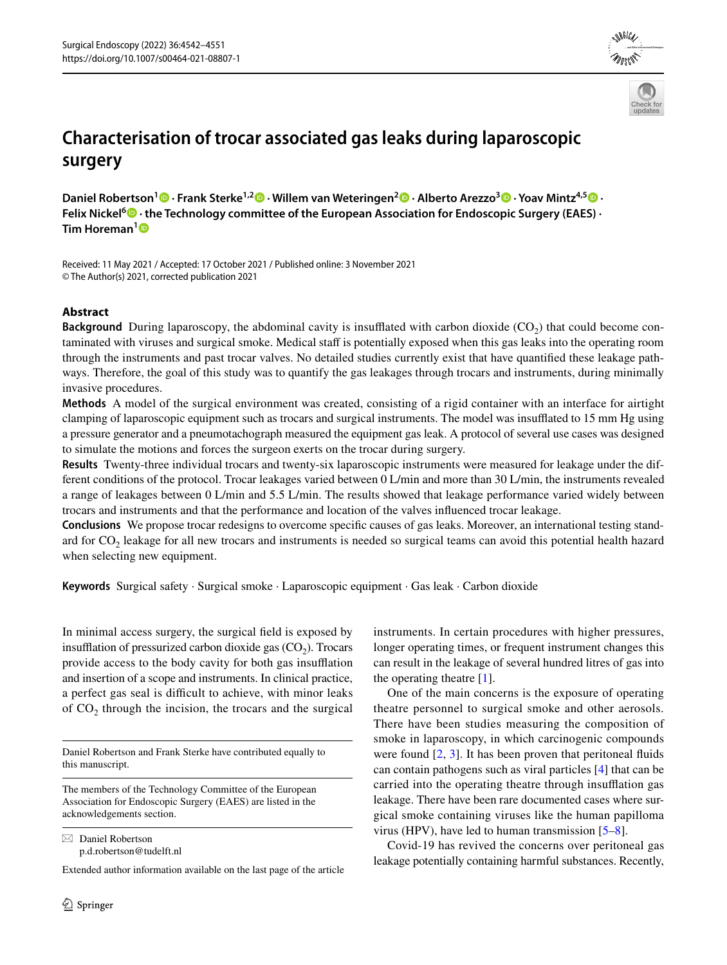



# **Characterisation of trocar associated gas leaks during laparoscopic surgery**

**Daniel Robertson1  [·](http://orcid.org/0000-0002-3373-5113) Frank Sterke1,2  [·](http://orcid.org/0000-0002-7194-491X) Willem van Weteringen2  [·](http://orcid.org/0000-0003-2667-3169) Alberto Arezzo3  [·](http://orcid.org/0000-0002-2110-4082) Yoav Mintz4,5 · Felix Nickel<sup>6</sup> · the Technology committee of the European Association for Endoscopic Surgery (EAES) · Tim Horeman[1](http://orcid.org/0000-0002-8527-4486)**

Received: 11 May 2021 / Accepted: 17 October 2021 / Published online: 3 November 2021 © The Author(s) 2021, corrected publication 2021

# **Abstract**

**Background** During laparoscopy, the abdominal cavity is insufflated with carbon dioxide  $(CO<sub>2</sub>)$  that could become contaminated with viruses and surgical smoke. Medical staf is potentially exposed when this gas leaks into the operating room through the instruments and past trocar valves. No detailed studies currently exist that have quantifed these leakage pathways. Therefore, the goal of this study was to quantify the gas leakages through trocars and instruments, during minimally invasive procedures.

**Methods** A model of the surgical environment was created, consisting of a rigid container with an interface for airtight clamping of laparoscopic equipment such as trocars and surgical instruments. The model was insufflated to 15 mm Hg using a pressure generator and a pneumotachograph measured the equipment gas leak. A protocol of several use cases was designed to simulate the motions and forces the surgeon exerts on the trocar during surgery.

**Results** Twenty-three individual trocars and twenty-six laparoscopic instruments were measured for leakage under the different conditions of the protocol. Trocar leakages varied between 0 L/min and more than 30 L/min, the instruments revealed a range of leakages between 0 L/min and 5.5 L/min. The results showed that leakage performance varied widely between trocars and instruments and that the performance and location of the valves infuenced trocar leakage.

**Conclusions** We propose trocar redesigns to overcome specifc causes of gas leaks. Moreover, an international testing standard for  $CO<sub>2</sub>$  leakage for all new trocars and instruments is needed so surgical teams can avoid this potential health hazard when selecting new equipment.

**Keywords** Surgical safety · Surgical smoke · Laparoscopic equipment · Gas leak · Carbon dioxide

In minimal access surgery, the surgical feld is exposed by insufflation of pressurized carbon dioxide gas  $(CO<sub>2</sub>)$ . Trocars provide access to the body cavity for both gas insufflation and insertion of a scope and instruments. In clinical practice, a perfect gas seal is difficult to achieve, with minor leaks of  $CO<sub>2</sub>$  through the incision, the trocars and the surgical

Daniel Robertson and Frank Sterke have contributed equally to this manuscript.

The members of the Technology Committee of the European Association for Endoscopic Surgery (EAES) are listed in the acknowledgements section.

 $\boxtimes$  Daniel Robertson p.d.robertson@tudelft.nl

Extended author information available on the last page of the article

instruments. In certain procedures with higher pressures, longer operating times, or frequent instrument changes this can result in the leakage of several hundred litres of gas into the operating theatre [\[1](#page-9-0)].

One of the main concerns is the exposure of operating theatre personnel to surgical smoke and other aerosols. There have been studies measuring the composition of smoke in laparoscopy, in which carcinogenic compounds were found  $[2, 3]$  $[2, 3]$  $[2, 3]$  $[2, 3]$  $[2, 3]$ . It has been proven that peritoneal fluids can contain pathogens such as viral particles [\[4](#page-9-3)] that can be carried into the operating theatre through insufflation gas leakage. There have been rare documented cases where surgical smoke containing viruses like the human papilloma virus (HPV), have led to human transmission [[5–](#page-9-4)[8\]](#page-9-5).

Covid-19 has revived the concerns over peritoneal gas leakage potentially containing harmful substances. Recently,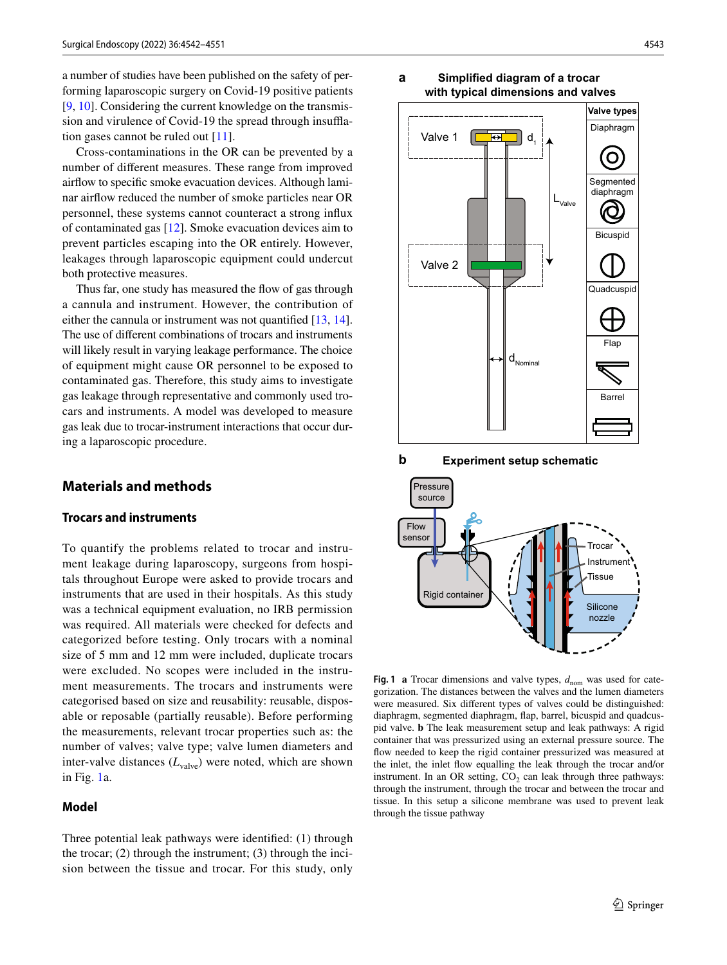a number of studies have been published on the safety of performing laparoscopic surgery on Covid-19 positive patients [\[9](#page-9-6), [10](#page-9-7)]. Considering the current knowledge on the transmission and virulence of Covid-19 the spread through insufation gases cannot be ruled out [[11\]](#page-9-8).

Cross-contaminations in the OR can be prevented by a number of diferent measures. These range from improved airfow to specifc smoke evacuation devices. Although laminar airfow reduced the number of smoke particles near OR personnel, these systems cannot counteract a strong infux of contaminated gas [\[12\]](#page-9-9). Smoke evacuation devices aim to prevent particles escaping into the OR entirely. However, leakages through laparoscopic equipment could undercut both protective measures.

Thus far, one study has measured the flow of gas through a cannula and instrument. However, the contribution of either the cannula or instrument was not quantifed [\[13](#page-9-10), [14](#page-9-11)]. The use of diferent combinations of trocars and instruments will likely result in varying leakage performance. The choice of equipment might cause OR personnel to be exposed to contaminated gas. Therefore, this study aims to investigate gas leakage through representative and commonly used trocars and instruments. A model was developed to measure gas leak due to trocar-instrument interactions that occur during a laparoscopic procedure.

# **Materials and methods**

# **Trocars and instruments**

To quantify the problems related to trocar and instrument leakage during laparoscopy, surgeons from hospitals throughout Europe were asked to provide trocars and instruments that are used in their hospitals. As this study was a technical equipment evaluation, no IRB permission was required. All materials were checked for defects and categorized before testing. Only trocars with a nominal size of 5 mm and 12 mm were included, duplicate trocars were excluded. No scopes were included in the instrument measurements. The trocars and instruments were categorised based on size and reusability: reusable, disposable or reposable (partially reusable). Before performing the measurements, relevant trocar properties such as: the number of valves; valve type; valve lumen diameters and inter-valve distances  $(L_{\text{value}})$  were noted, which are shown in Fig. [1a](#page-1-0).

### **Model**

Three potential leak pathways were identifed: (1) through the trocar; (2) through the instrument; (3) through the incision between the tissue and trocar. For this study, only



**b Experiment setup schematic**



<span id="page-1-0"></span>**Fig. 1 a** Trocar dimensions and valve types,  $d_{\text{nom}}$  was used for categorization. The distances between the valves and the lumen diameters were measured. Six diferent types of valves could be distinguished: diaphragm, segmented diaphragm, fap, barrel, bicuspid and quadcuspid valve. **b** The leak measurement setup and leak pathways: A rigid container that was pressurized using an external pressure source. The fow needed to keep the rigid container pressurized was measured at the inlet, the inlet fow equalling the leak through the trocar and/or instrument. In an OR setting,  $CO<sub>2</sub>$  can leak through three pathways: through the instrument, through the trocar and between the trocar and tissue. In this setup a silicone membrane was used to prevent leak through the tissue pathway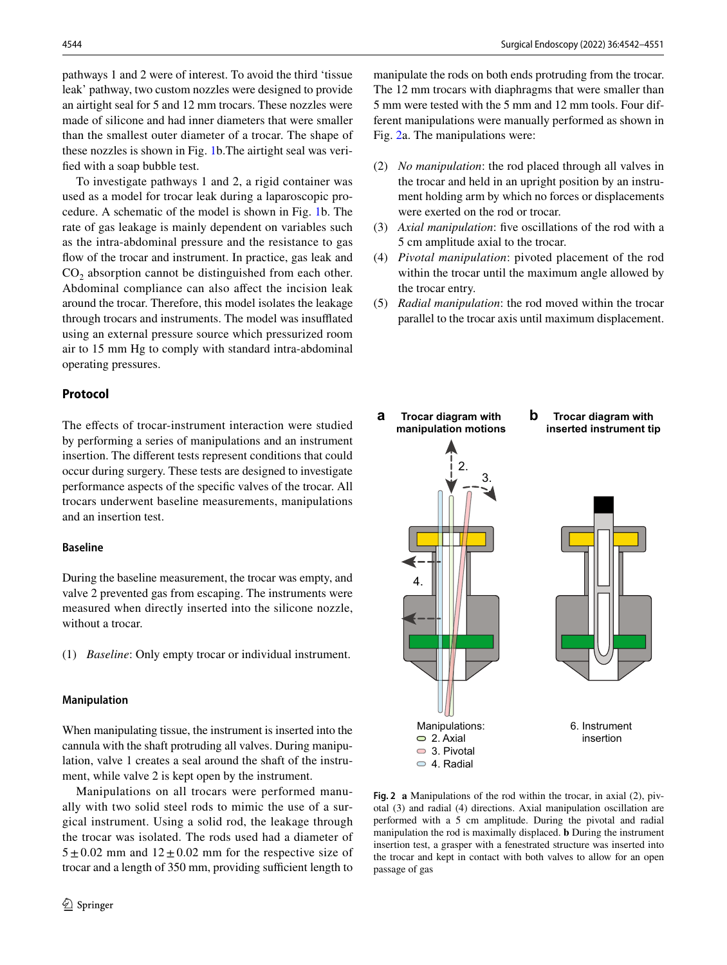pathways 1 and 2 were of interest. To avoid the third 'tissue leak' pathway, two custom nozzles were designed to provide an airtight seal for 5 and 12 mm trocars. These nozzles were made of silicone and had inner diameters that were smaller than the smallest outer diameter of a trocar. The shape of these nozzles is shown in Fig. [1](#page-1-0)b.The airtight seal was verifed with a soap bubble test.

To investigate pathways 1 and 2, a rigid container was used as a model for trocar leak during a laparoscopic procedure. A schematic of the model is shown in Fig. [1](#page-1-0)b. The rate of gas leakage is mainly dependent on variables such as the intra-abdominal pressure and the resistance to gas flow of the trocar and instrument. In practice, gas leak and  $CO<sub>2</sub>$  absorption cannot be distinguished from each other. Abdominal compliance can also afect the incision leak around the trocar. Therefore, this model isolates the leakage through trocars and instruments. The model was insufflated using an external pressure source which pressurized room air to 15 mm Hg to comply with standard intra-abdominal operating pressures.

# **Protocol**

The effects of trocar-instrument interaction were studied by performing a series of manipulations and an instrument insertion. The diferent tests represent conditions that could occur during surgery. These tests are designed to investigate performance aspects of the specifc valves of the trocar. All trocars underwent baseline measurements, manipulations and an insertion test.

### **Baseline**

During the baseline measurement, the trocar was empty, and valve 2 prevented gas from escaping. The instruments were measured when directly inserted into the silicone nozzle, without a trocar.

(1) *Baseline*: Only empty trocar or individual instrument.

### **Manipulation**

When manipulating tissue, the instrument is inserted into the cannula with the shaft protruding all valves. During manipulation, valve 1 creates a seal around the shaft of the instrument, while valve 2 is kept open by the instrument.

Manipulations on all trocars were performed manually with two solid steel rods to mimic the use of a surgical instrument. Using a solid rod, the leakage through the trocar was isolated. The rods used had a diameter of  $5 \pm 0.02$  mm and  $12 \pm 0.02$  mm for the respective size of trocar and a length of 350 mm, providing sufficient length to manipulate the rods on both ends protruding from the trocar. The 12 mm trocars with diaphragms that were smaller than 5 mm were tested with the 5 mm and 12 mm tools. Four different manipulations were manually performed as shown in Fig. [2a](#page-2-0). The manipulations were:

- (2) *No manipulation*: the rod placed through all valves in the trocar and held in an upright position by an instrument holding arm by which no forces or displacements were exerted on the rod or trocar.
- (3) *Axial manipulation*: fve oscillations of the rod with a 5 cm amplitude axial to the trocar.
- (4) *Pivotal manipulation*: pivoted placement of the rod within the trocar until the maximum angle allowed by the trocar entry.
- (5) *Radial manipulation*: the rod moved within the trocar parallel to the trocar axis until maximum displacement.



<span id="page-2-0"></span>**Fig. 2 a** Manipulations of the rod within the trocar, in axial (2), pivotal (3) and radial (4) directions. Axial manipulation oscillation are performed with a 5 cm amplitude. During the pivotal and radial manipulation the rod is maximally displaced. **b** During the instrument insertion test, a grasper with a fenestrated structure was inserted into the trocar and kept in contact with both valves to allow for an open passage of gas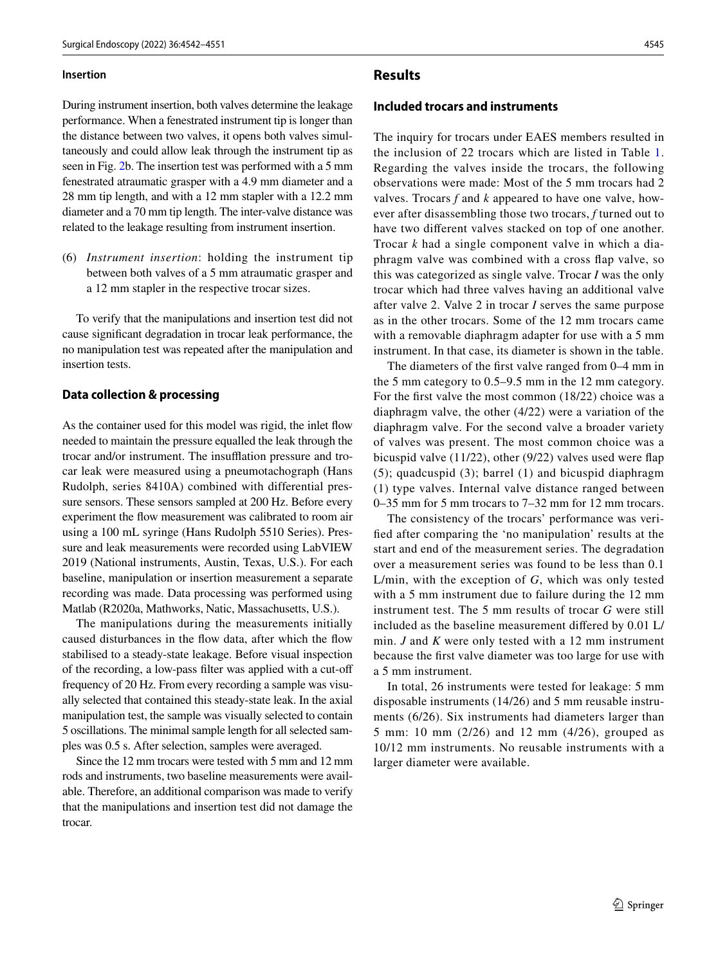### **Insertion**

During instrument insertion, both valves determine the leakage performance. When a fenestrated instrument tip is longer than the distance between two valves, it opens both valves simultaneously and could allow leak through the instrument tip as seen in Fig. [2](#page-2-0)b. The insertion test was performed with a 5 mm fenestrated atraumatic grasper with a 4.9 mm diameter and a 28 mm tip length, and with a 12 mm stapler with a 12.2 mm diameter and a 70 mm tip length. The inter-valve distance was related to the leakage resulting from instrument insertion.

(6) *Instrument insertion*: holding the instrument tip between both valves of a 5 mm atraumatic grasper and a 12 mm stapler in the respective trocar sizes.

To verify that the manipulations and insertion test did not cause signifcant degradation in trocar leak performance, the no manipulation test was repeated after the manipulation and insertion tests.

### **Data collection & processing**

As the container used for this model was rigid, the inlet fow needed to maintain the pressure equalled the leak through the trocar and/or instrument. The insufflation pressure and trocar leak were measured using a pneumotachograph (Hans Rudolph, series 8410A) combined with differential pressure sensors. These sensors sampled at 200 Hz. Before every experiment the fow measurement was calibrated to room air using a 100 mL syringe (Hans Rudolph 5510 Series). Pressure and leak measurements were recorded using LabVIEW 2019 (National instruments, Austin, Texas, U.S.). For each baseline, manipulation or insertion measurement a separate recording was made. Data processing was performed using Matlab (R2020a, Mathworks, Natic, Massachusetts, U.S.).

The manipulations during the measurements initially caused disturbances in the fow data, after which the fow stabilised to a steady-state leakage. Before visual inspection of the recording, a low-pass flter was applied with a cut-of frequency of 20 Hz. From every recording a sample was visually selected that contained this steady-state leak. In the axial manipulation test, the sample was visually selected to contain 5 oscillations. The minimal sample length for all selected samples was 0.5 s. After selection, samples were averaged.

Since the 12 mm trocars were tested with 5 mm and 12 mm rods and instruments, two baseline measurements were available. Therefore, an additional comparison was made to verify that the manipulations and insertion test did not damage the trocar.

### **Results**

### **Included trocars and instruments**

The inquiry for trocars under EAES members resulted in the inclusion of 22 trocars which are listed in Table [1.](#page-4-0) Regarding the valves inside the trocars, the following observations were made: Most of the 5 mm trocars had 2 valves. Trocars *f* and *k* appeared to have one valve, however after disassembling those two trocars, *f* turned out to have two diferent valves stacked on top of one another. Trocar *k* had a single component valve in which a diaphragm valve was combined with a cross fap valve, so this was categorized as single valve. Trocar *I* was the only trocar which had three valves having an additional valve after valve 2. Valve 2 in trocar *I* serves the same purpose as in the other trocars. Some of the 12 mm trocars came with a removable diaphragm adapter for use with a 5 mm instrument. In that case, its diameter is shown in the table.

The diameters of the frst valve ranged from 0–4 mm in the 5 mm category to 0.5–9.5 mm in the 12 mm category. For the frst valve the most common (18/22) choice was a diaphragm valve, the other (4/22) were a variation of the diaphragm valve. For the second valve a broader variety of valves was present. The most common choice was a bicuspid valve (11/22), other (9/22) valves used were fap (5); quadcuspid (3); barrel (1) and bicuspid diaphragm (1) type valves. Internal valve distance ranged between 0–35 mm for 5 mm trocars to 7–32 mm for 12 mm trocars.

The consistency of the trocars' performance was verifed after comparing the 'no manipulation' results at the start and end of the measurement series. The degradation over a measurement series was found to be less than 0.1 L/min, with the exception of *G*, which was only tested with a 5 mm instrument due to failure during the 12 mm instrument test. The 5 mm results of trocar *G* were still included as the baseline measurement difered by 0.01 L/ min. *J* and *K* were only tested with a 12 mm instrument because the frst valve diameter was too large for use with a 5 mm instrument.

In total, 26 instruments were tested for leakage: 5 mm disposable instruments (14/26) and 5 mm reusable instruments (6/26). Six instruments had diameters larger than 5 mm: 10 mm (2/26) and 12 mm (4/26), grouped as 10/12 mm instruments. No reusable instruments with a larger diameter were available.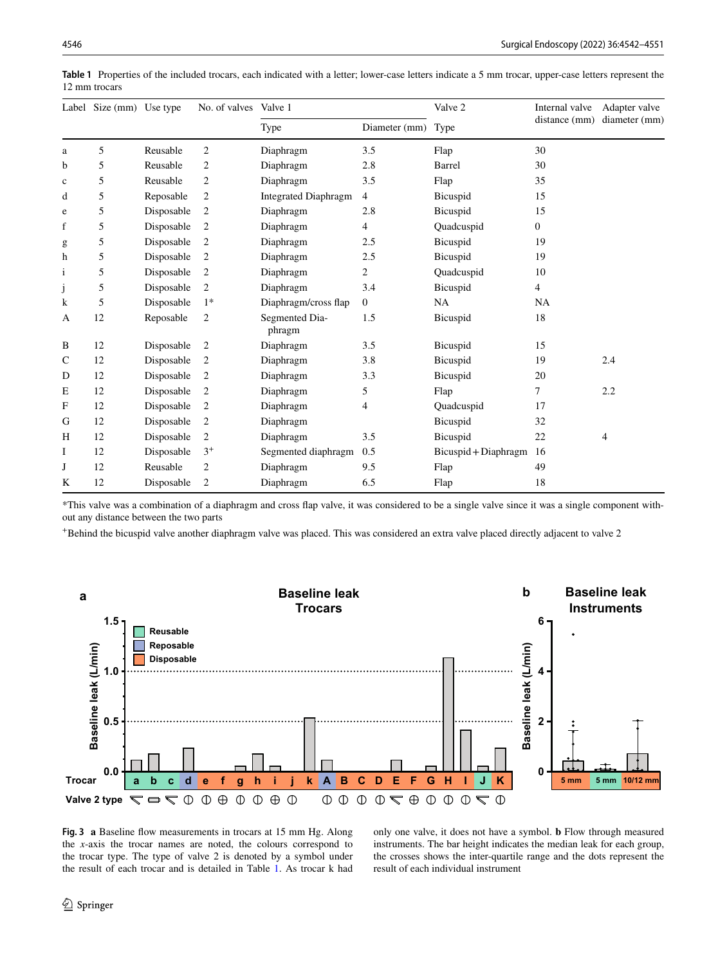|              | Label Size (mm) Use type |            | No. of valves  | Valve 1                     |                  | Valve 2              | Internal valve | Adapter valve |
|--------------|--------------------------|------------|----------------|-----------------------------|------------------|----------------------|----------------|---------------|
|              |                          |            |                | Type                        | Diameter (mm)    | Type                 | distance (mm)  | diameter (mm) |
| a            | 5                        | Reusable   | $\mathbf{2}$   | Diaphragm                   | 3.5              | Flap                 | 30             |               |
| b            | 5                        | Reusable   | $\mathbf{2}$   | Diaphragm                   | 2.8              | Barrel               | 30             |               |
| $\mathbf c$  | 5                        | Reusable   | $\overline{c}$ | Diaphragm                   | 3.5              | Flap                 | 35             |               |
| d            | 5                        | Reposable  | $\overline{c}$ | <b>Integrated Diaphragm</b> | 4                | Bicuspid             | 15             |               |
| e            | 5                        | Disposable | $\overline{c}$ | Diaphragm                   | 2.8              | Bicuspid             | 15             |               |
| f            | 5                        | Disposable | $\overline{c}$ | Diaphragm                   | 4                | Quadcuspid           | 0              |               |
| g            | 5                        | Disposable | $\overline{c}$ | Diaphragm                   | 2.5              | Bicuspid             | 19             |               |
| h            | 5                        | Disposable | 2              | Diaphragm                   | 2.5              | Bicuspid             | 19             |               |
| $\mathbf{i}$ | 5                        | Disposable | $\overline{2}$ | Diaphragm                   | $\overline{c}$   | Quadcuspid           | 10             |               |
| $\rm j$      | 5                        | Disposable | 2              | Diaphragm                   | 3.4              | Bicuspid             | 4              |               |
| k            | 5                        | Disposable | $1*$           | Diaphragm/cross flap        | $\boldsymbol{0}$ | NA                   | <b>NA</b>      |               |
| A            | 12                       | Reposable  | $\overline{c}$ | Segmented Dia-<br>phragm    | 1.5              | Bicuspid             | 18             |               |
| B            | 12                       | Disposable | 2              | Diaphragm                   | 3.5              | Bicuspid             | 15             |               |
| $\mathsf{C}$ | 12                       | Disposable | 2              | Diaphragm                   | 3.8              | Bicuspid             | 19             | 2.4           |
| D            | 12                       | Disposable | $\overline{c}$ | Diaphragm                   | 3.3              | Bicuspid             | 20             |               |
| Е            | 12                       | Disposable | $\overline{c}$ | Diaphragm                   | 5                | Flap                 | 7              | 2.2           |
| $\mathbf F$  | 12                       | Disposable | $\overline{c}$ | Diaphragm                   | 4                | Quadcuspid           | 17             |               |
| G            | 12                       | Disposable | $\overline{c}$ | Diaphragm                   |                  | Bicuspid             | 32             |               |
| H            | 12                       | Disposable | $\overline{2}$ | Diaphragm                   | 3.5              | Bicuspid             | 22             | 4             |
| Ι            | 12                       | Disposable | $3^+$          | Segmented diaphragm         | 0.5              | Bicuspid + Diaphragm | 16             |               |
| J            | 12                       | Reusable   | $\overline{c}$ | Diaphragm                   | 9.5              | Flap                 | 49             |               |
| K            | 12                       | Disposable | $\sqrt{2}$     | Diaphragm                   | 6.5              | Flap                 | 18             |               |

<span id="page-4-0"></span>**Table 1** Properties of the included trocars, each indicated with a letter; lower-case letters indicate a 5 mm trocar, upper-case letters represent the 12 mm trocars

\*This valve was a combination of a diaphragm and cross fap valve, it was considered to be a single valve since it was a single component without any distance between the two parts

+Behind the bicuspid valve another diaphragm valve was placed. This was considered an extra valve placed directly adjacent to valve 2



<span id="page-4-1"></span>**Fig. 3 a** Baseline fow measurements in trocars at 15 mm Hg. Along the *x*-axis the trocar names are noted, the colours correspond to the trocar type. The type of valve 2 is denoted by a symbol under the result of each trocar and is detailed in Table [1.](#page-4-0) As trocar k had only one valve, it does not have a symbol. **b** Flow through measured instruments. The bar height indicates the median leak for each group, the crosses shows the inter-quartile range and the dots represent the result of each individual instrument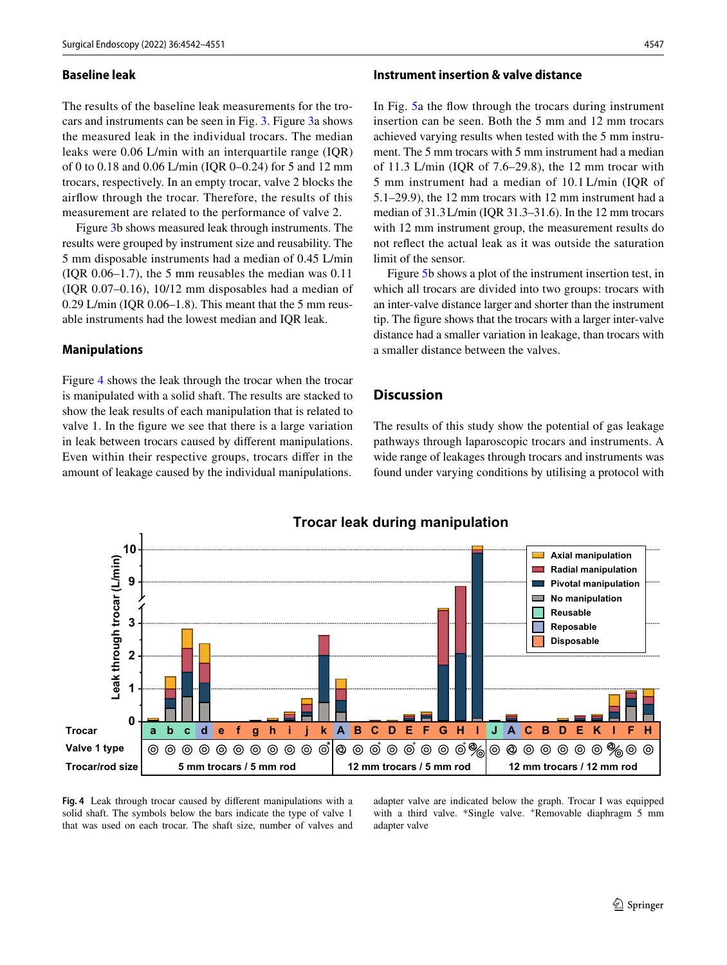### **Baseline leak**

The results of the baseline leak measurements for the trocars and instruments can be seen in Fig. [3.](#page-4-1) Figure [3a](#page-4-1) shows the measured leak in the individual trocars. The median leaks were 0.06 L/min with an interquartile range (IQR) of 0 to 0.18 and 0.06 L/min (IQR 0–0.24) for 5 and 12 mm trocars, respectively. In an empty trocar, valve 2 blocks the airfow through the trocar. Therefore, the results of this measurement are related to the performance of valve 2.

Figure [3b](#page-4-1) shows measured leak through instruments. The results were grouped by instrument size and reusability. The 5 mm disposable instruments had a median of 0.45 L/min  $( IQR 0.06-1.7)$ , the 5 mm reusables the median was  $0.11$ (IQR 0.07–0.16), 10/12 mm disposables had a median of 0.29 L/min (IQR 0.06–1.8). This meant that the 5 mm reusable instruments had the lowest median and IQR leak.

### **Manipulations**

Figure [4](#page-5-0) shows the leak through the trocar when the trocar is manipulated with a solid shaft. The results are stacked to show the leak results of each manipulation that is related to valve 1. In the fgure we see that there is a large variation in leak between trocars caused by diferent manipulations. Even within their respective groups, trocars difer in the amount of leakage caused by the individual manipulations.

# **Instrument insertion & valve distance**

In Fig. [5a](#page-6-0) the fow through the trocars during instrument insertion can be seen. Both the 5 mm and 12 mm trocars achieved varying results when tested with the 5 mm instrument. The 5 mm trocars with 5 mm instrument had a median of 11.3 L/min (IQR of 7.6–29.8), the 12 mm trocar with 5 mm instrument had a median of 10.1 L/min (IQR of 5.1–29.9), the 12 mm trocars with 12 mm instrument had a median of 31.3L/min (IQR 31.3–31.6). In the 12 mm trocars with 12 mm instrument group, the measurement results do not refect the actual leak as it was outside the saturation limit of the sensor.

Figure [5b](#page-6-0) shows a plot of the instrument insertion test, in which all trocars are divided into two groups: trocars with an inter-valve distance larger and shorter than the instrument tip. The fgure shows that the trocars with a larger inter-valve distance had a smaller variation in leakage, than trocars with a smaller distance between the valves.

# **Discussion**

The results of this study show the potential of gas leakage pathways through laparoscopic trocars and instruments. A wide range of leakages through trocars and instruments was found under varying conditions by utilising a protocol with



<span id="page-5-0"></span>**Fig. 4** Leak through trocar caused by diferent manipulations with a solid shaft. The symbols below the bars indicate the type of valve 1 that was used on each trocar. The shaft size, number of valves and adapter valve are indicated below the graph. Trocar I was equipped with a third valve. \*Single valve. \*Removable diaphragm 5 mm adapter valve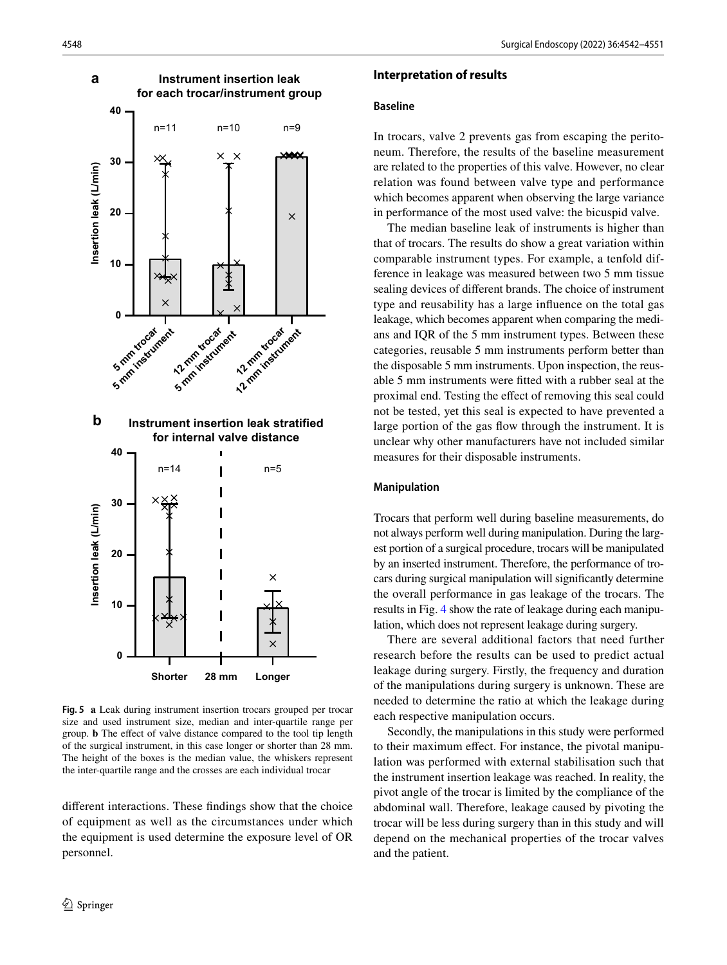

<span id="page-6-0"></span>**Fig. 5 a** Leak during instrument insertion trocars grouped per trocar size and used instrument size, median and inter-quartile range per group. **b** The efect of valve distance compared to the tool tip length of the surgical instrument, in this case longer or shorter than 28 mm. The height of the boxes is the median value, the whiskers represent the inter-quartile range and the crosses are each individual trocar

diferent interactions. These fndings show that the choice of equipment as well as the circumstances under which the equipment is used determine the exposure level of OR personnel.

### **Interpretation of results**

### **Baseline**

In trocars, valve 2 prevents gas from escaping the peritoneum. Therefore, the results of the baseline measurement are related to the properties of this valve. However, no clear relation was found between valve type and performance which becomes apparent when observing the large variance in performance of the most used valve: the bicuspid valve.

The median baseline leak of instruments is higher than that of trocars. The results do show a great variation within comparable instrument types. For example, a tenfold difference in leakage was measured between two 5 mm tissue sealing devices of diferent brands. The choice of instrument type and reusability has a large infuence on the total gas leakage, which becomes apparent when comparing the medians and IQR of the 5 mm instrument types. Between these categories, reusable 5 mm instruments perform better than the disposable 5 mm instruments. Upon inspection, the reusable 5 mm instruments were ftted with a rubber seal at the proximal end. Testing the efect of removing this seal could not be tested, yet this seal is expected to have prevented a large portion of the gas fow through the instrument. It is unclear why other manufacturers have not included similar measures for their disposable instruments.

#### **Manipulation**

Trocars that perform well during baseline measurements, do not always perform well during manipulation. During the largest portion of a surgical procedure, trocars will be manipulated by an inserted instrument. Therefore, the performance of trocars during surgical manipulation will signifcantly determine the overall performance in gas leakage of the trocars. The results in Fig. [4](#page-5-0) show the rate of leakage during each manipulation, which does not represent leakage during surgery.

There are several additional factors that need further research before the results can be used to predict actual leakage during surgery. Firstly, the frequency and duration of the manipulations during surgery is unknown. These are needed to determine the ratio at which the leakage during each respective manipulation occurs.

Secondly, the manipulations in this study were performed to their maximum efect. For instance, the pivotal manipulation was performed with external stabilisation such that the instrument insertion leakage was reached. In reality, the pivot angle of the trocar is limited by the compliance of the abdominal wall. Therefore, leakage caused by pivoting the trocar will be less during surgery than in this study and will depend on the mechanical properties of the trocar valves and the patient.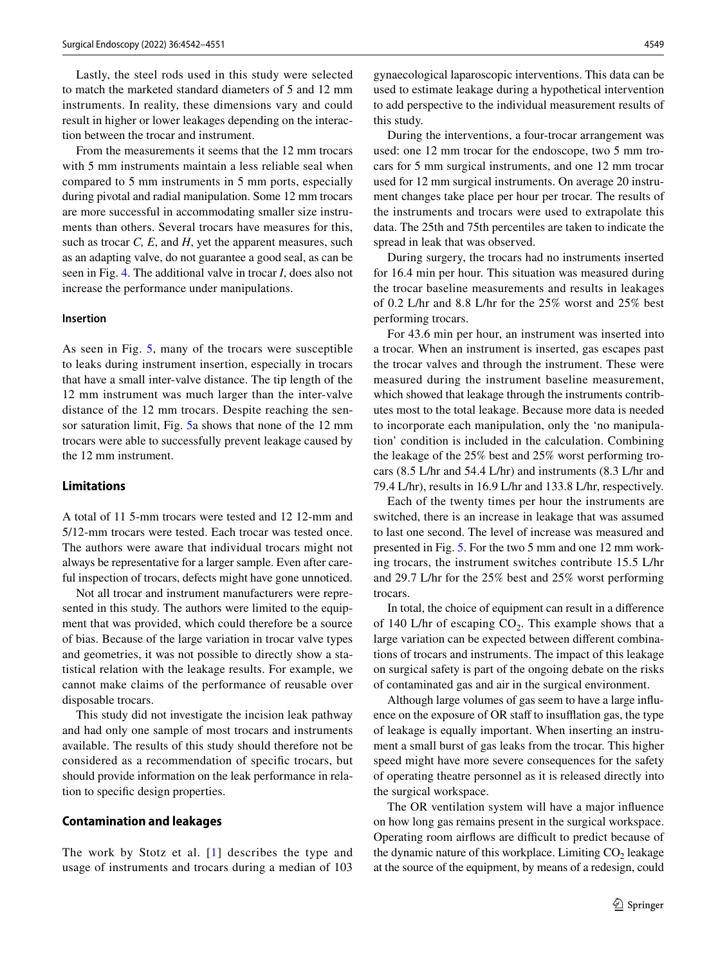Lastly, the steel rods used in this study were selected to match the marketed standard diameters of 5 and 12 mm instruments. In reality, these dimensions vary and could result in higher or lower leakages depending on the interaction between the trocar and instrument.

From the measurements it seems that the 12 mm trocars with 5 mm instruments maintain a less reliable seal when compared to 5 mm instruments in 5 mm ports, especially during pivotal and radial manipulation. Some 12 mm trocars are more successful in accommodating smaller size instruments than others. Several trocars have measures for this, such as trocar *C, E*, and *H*, yet the apparent measures, such as an adapting valve, do not guarantee a good seal, as can be seen in Fig. [4](#page-5-0). The additional valve in trocar *I*, does also not increase the performance under manipulations.

# **Insertion**

As seen in Fig. [5](#page-6-0), many of the trocars were susceptible to leaks during instrument insertion, especially in trocars that have a small inter-valve distance. The tip length of the 12 mm instrument was much larger than the inter-valve distance of the 12 mm trocars. Despite reaching the sensor saturation limit, Fig. [5a](#page-6-0) shows that none of the 12 mm trocars were able to successfully prevent leakage caused by the 12 mm instrument.

### **Limitations**

A total of 11 5-mm trocars were tested and 12 12-mm and 5/12-mm trocars were tested. Each trocar was tested once. The authors were aware that individual trocars might not always be representative for a larger sample. Even after careful inspection of trocars, defects might have gone unnoticed.

Not all trocar and instrument manufacturers were represented in this study. The authors were limited to the equipment that was provided, which could therefore be a source of bias. Because of the large variation in trocar valve types and geometries, it was not possible to directly show a statistical relation with the leakage results. For example, we cannot make claims of the performance of reusable over disposable trocars.

This study did not investigate the incision leak pathway and had only one sample of most trocars and instruments available. The results of this study should therefore not be considered as a recommendation of specifc trocars, but should provide information on the leak performance in relation to specifc design properties.

#### **Contamination and leakages**

The work by Stotz et al. [[1](#page-9-0)] describes the type and usage of instruments and trocars during a median of 103

gynaecological laparoscopic interventions. This data can be used to estimate leakage during a hypothetical intervention to add perspective to the individual measurement results of this study.

During the interventions, a four-trocar arrangement was used: one 12 mm trocar for the endoscope, two 5 mm trocars for 5 mm surgical instruments, and one 12 mm trocar used for 12 mm surgical instruments. On average 20 instrument changes take place per hour per trocar. The results of the instruments and trocars were used to extrapolate this data. The 25th and 75th percentiles are taken to indicate the spread in leak that was observed.

During surgery, the trocars had no instruments inserted for 16.4 min per hour. This situation was measured during the trocar baseline measurements and results in leakages of 0.2 L/hr and 8.8 L/hr for the 25% worst and 25% best performing trocars.

For 43.6 min per hour, an instrument was inserted into a trocar. When an instrument is inserted, gas escapes past the trocar valves and through the instrument. These were measured during the instrument baseline measurement, which showed that leakage through the instruments contributes most to the total leakage. Because more data is needed to incorporate each manipulation, only the 'no manipulation' condition is included in the calculation. Combining the leakage of the 25% best and 25% worst performing trocars (8.5 L/hr and 54.4 L/hr) and instruments (8.3 L/hr and 79.4 L/hr), results in 16.9 L/hr and 133.8 L/hr, respectively.

Each of the twenty times per hour the instruments are switched, there is an increase in leakage that was assumed to last one second. The level of increase was measured and presented in Fig. [5.](#page-6-0) For the two 5 mm and one 12 mm working trocars, the instrument switches contribute 15.5 L/hr and 29.7 L/hr for the 25% best and 25% worst performing trocars.

In total, the choice of equipment can result in a diference of 140 L/hr of escaping  $CO<sub>2</sub>$ . This example shows that a large variation can be expected between diferent combinations of trocars and instruments. The impact of this leakage on surgical safety is part of the ongoing debate on the risks of contaminated gas and air in the surgical environment.

Although large volumes of gas seem to have a large infuence on the exposure of OR staff to insufflation gas, the type of leakage is equally important. When inserting an instrument a small burst of gas leaks from the trocar. This higher speed might have more severe consequences for the safety of operating theatre personnel as it is released directly into the surgical workspace.

The OR ventilation system will have a major infuence on how long gas remains present in the surgical workspace. Operating room airflows are difficult to predict because of the dynamic nature of this workplace. Limiting  $CO<sub>2</sub>$  leakage at the source of the equipment, by means of a redesign, could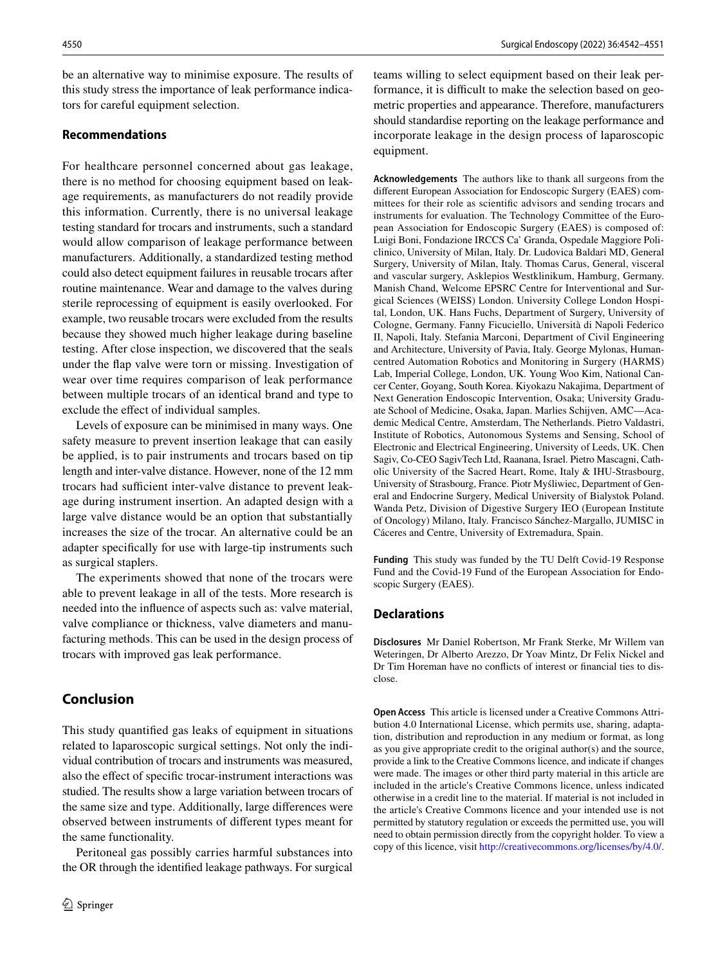be an alternative way to minimise exposure. The results of this study stress the importance of leak performance indicators for careful equipment selection.

# **Recommendations**

For healthcare personnel concerned about gas leakage, there is no method for choosing equipment based on leakage requirements, as manufacturers do not readily provide this information. Currently, there is no universal leakage testing standard for trocars and instruments, such a standard would allow comparison of leakage performance between manufacturers. Additionally, a standardized testing method could also detect equipment failures in reusable trocars after routine maintenance. Wear and damage to the valves during sterile reprocessing of equipment is easily overlooked. For example, two reusable trocars were excluded from the results because they showed much higher leakage during baseline testing. After close inspection, we discovered that the seals under the fap valve were torn or missing. Investigation of wear over time requires comparison of leak performance between multiple trocars of an identical brand and type to exclude the efect of individual samples.

Levels of exposure can be minimised in many ways. One safety measure to prevent insertion leakage that can easily be applied, is to pair instruments and trocars based on tip length and inter-valve distance. However, none of the 12 mm trocars had sufficient inter-valve distance to prevent leakage during instrument insertion. An adapted design with a large valve distance would be an option that substantially increases the size of the trocar. An alternative could be an adapter specifcally for use with large-tip instruments such as surgical staplers.

The experiments showed that none of the trocars were able to prevent leakage in all of the tests. More research is needed into the infuence of aspects such as: valve material, valve compliance or thickness, valve diameters and manufacturing methods. This can be used in the design process of trocars with improved gas leak performance.

# **Conclusion**

This study quantifed gas leaks of equipment in situations related to laparoscopic surgical settings. Not only the individual contribution of trocars and instruments was measured, also the efect of specifc trocar-instrument interactions was studied. The results show a large variation between trocars of the same size and type. Additionally, large diferences were observed between instruments of diferent types meant for the same functionality.

Peritoneal gas possibly carries harmful substances into the OR through the identifed leakage pathways. For surgical teams willing to select equipment based on their leak performance, it is difficult to make the selection based on geometric properties and appearance. Therefore, manufacturers should standardise reporting on the leakage performance and incorporate leakage in the design process of laparoscopic equipment.

**Acknowledgements** The authors like to thank all surgeons from the diferent European Association for Endoscopic Surgery (EAES) committees for their role as scientifc advisors and sending trocars and instruments for evaluation. The Technology Committee of the European Association for Endoscopic Surgery (EAES) is composed of: Luigi Boni, Fondazione IRCCS Ca' Granda, Ospedale Maggiore Policlinico, University of Milan, Italy. Dr. Ludovica Baldari MD, General Surgery, University of Milan, Italy. Thomas Carus, General, visceral and vascular surgery, Asklepios Westklinikum, Hamburg, Germany. Manish Chand, Welcome EPSRC Centre for Interventional and Surgical Sciences (WEISS) London. University College London Hospital, London, UK. Hans Fuchs, Department of Surgery, University of Cologne, Germany. Fanny Ficuciello, Università di Napoli Federico II, Napoli, Italy. Stefania Marconi, Department of Civil Engineering and Architecture, University of Pavia, Italy. George Mylonas, Humancentred Automation Robotics and Monitoring in Surgery (HARMS) Lab, Imperial College, London, UK. Young Woo Kim, National Cancer Center, Goyang, South Korea. Kiyokazu Nakajima, Department of Next Generation Endoscopic Intervention, Osaka; University Graduate School of Medicine, Osaka, Japan. Marlies Schijven, AMC—Academic Medical Centre, Amsterdam, The Netherlands. Pietro Valdastri, Institute of Robotics, Autonomous Systems and Sensing, School of Electronic and Electrical Engineering, University of Leeds, UK. Chen Sagiv, Co-CEO SagivTech Ltd, Raanana, Israel. Pietro Mascagni, Catholic University of the Sacred Heart, Rome, Italy & IHU-Strasbourg, University of Strasbourg, France. Piotr Myśliwiec, Department of General and Endocrine Surgery, Medical University of Bialystok Poland. Wanda Petz, Division of Digestive Surgery IEO (European Institute of Oncology) Milano, Italy. Francisco Sánchez-Margallo, JUMISC in Cáceres and Centre, University of Extremadura, Spain.

**Funding** This study was funded by the TU Delft Covid-19 Response Fund and the Covid-19 Fund of the European Association for Endoscopic Surgery (EAES).

### **Declarations**

**Disclosures** Mr Daniel Robertson, Mr Frank Sterke, Mr Willem van Weteringen, Dr Alberto Arezzo, Dr Yoav Mintz, Dr Felix Nickel and Dr Tim Horeman have no conficts of interest or fnancial ties to disclose.

**Open Access** This article is licensed under a Creative Commons Attribution 4.0 International License, which permits use, sharing, adaptation, distribution and reproduction in any medium or format, as long as you give appropriate credit to the original author(s) and the source, provide a link to the Creative Commons licence, and indicate if changes were made. The images or other third party material in this article are included in the article's Creative Commons licence, unless indicated otherwise in a credit line to the material. If material is not included in the article's Creative Commons licence and your intended use is not permitted by statutory regulation or exceeds the permitted use, you will need to obtain permission directly from the copyright holder. To view a copy of this licence, visit<http://creativecommons.org/licenses/by/4.0/>.